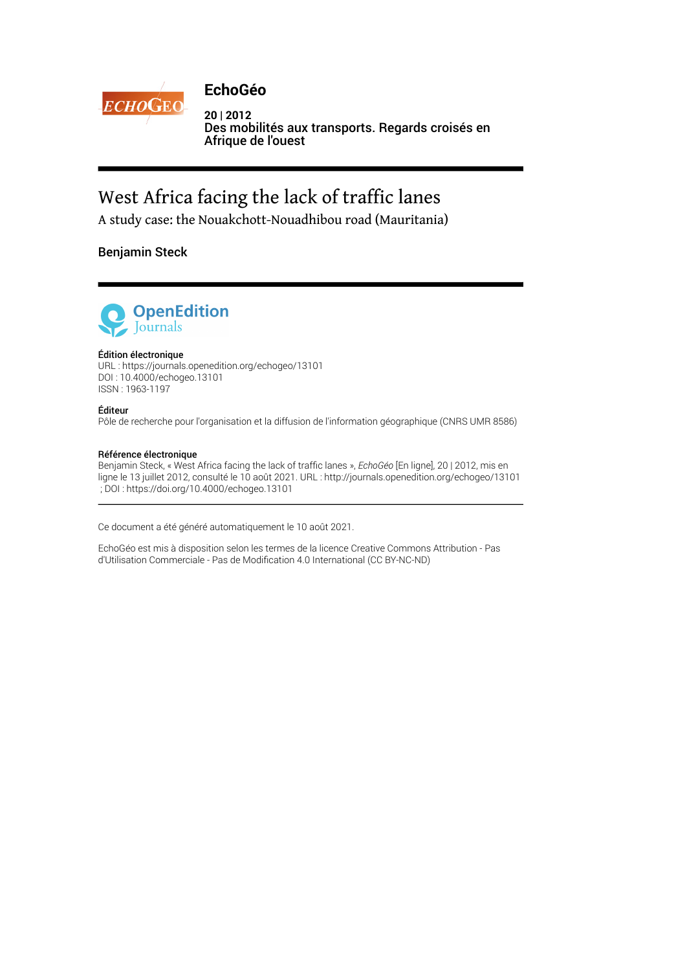

# **EchoGéo**

**20 | 2012** Des mobilités aux transports. Regards croisés en Afrique de l'ouest

# West Africa facing the lack of traffic lanes

A study case: the Nouakchott-Nouadhibou road (Mauritania)

## Benjamin Steck



#### Édition électronique

URL :<https://journals.openedition.org/echogeo/13101> DOI : 10.4000/echogeo.13101 ISSN : 1963-1197

#### Éditeur

Pôle de recherche pour l'organisation et la diffusion de l'information géographique (CNRS UMR 8586)

#### Référence électronique

Benjamin Steck, « West Africa facing the lack of traffic lanes », *EchoGéo* [En ligne], 20 | 2012, mis en ligne le 13 juillet 2012, consulté le 10 août 2021. URL : http://journals.openedition.org/echogeo/13101 ; DOI : https://doi.org/10.4000/echogeo.13101

Ce document a été généré automatiquement le 10 août 2021.

EchoGéo est mis à disposition selon les termes de la licence Creative Commons Attribution - Pas d'Utilisation Commerciale - Pas de Modification 4.0 International (CC BY-NC-ND)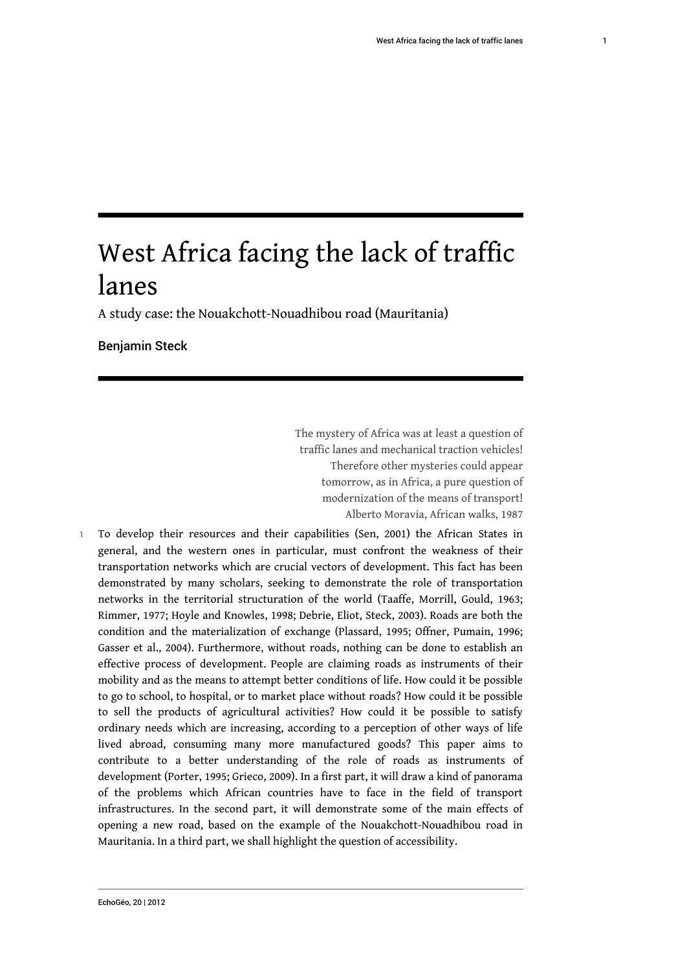# West Africa facing the lack of traffic lanes

A study case: the Nouakchott-Nouadhibou road (Mauritania)

Benjamin Steck

The mystery of Africa was at least a question of traffic lanes and mechanical traction vehicles! Therefore other mysteries could appear tomorrow, as in Africa, a pure question of modernization of the means of transport! Alberto Moravia, African walks, 1987

1 To develop their resources and their capabilities (Sen, 2001) the African States in general, and the western ones in particular, must confront the weakness of their transportation networks which are crucial vectors of development. This fact has been demonstrated by many scholars, seeking to demonstrate the role of transportation networks in the territorial structuration of the world (Taaffe, Morrill, Gould, 1963; Rimmer, 1977; Hoyle and Knowles, 1998; Debrie, Eliot, Steck, 2003). Roads are both the condition and the materialization of exchange (Plassard, 1995; Offner, Pumain, 1996; Gasser et al., 2004). Furthermore, without roads, nothing can be done to establish an effective process of development. People are claiming roads as instruments of their mobility and as the means to attempt better conditions of life. How could it be possible to go to school, to hospital, or to market place without roads? How could it be possible to sell the products of agricultural activities? How could it be possible to satisfy ordinary needs which are increasing, according to a perception of other ways of life lived abroad, consuming many more manufactured goods? This paper aims to contribute to a better understanding of the role of roads as instruments of development (Porter, 1995; Grieco, 2009). In a first part, it will draw a kind of panorama of the problems which African countries have to face in the field of transport infrastructures. In the second part, it will demonstrate some of the main effects of opening a new road, based on the example of the Nouakchott-Nouadhibou road in Mauritania. In a third part, we shall highlight the question of accessibility.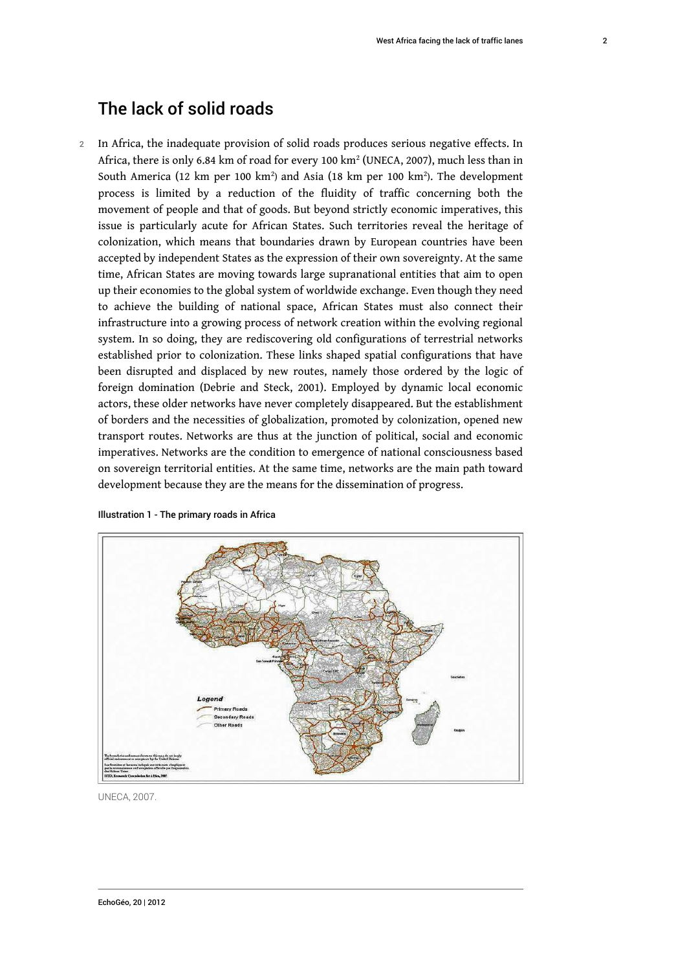# The lack of solid roads

2 In Africa, the inadequate provision of solid roads produces serious negative effects. In Africa, there is only 6.84 km of road for every 100 km² (UNECA, 2007), much less than in South America (12 km per 100 km<sup>2</sup>) and Asia (18 km per 100 km<sup>2</sup>). The development process is limited by a reduction of the fluidity of traffic concerning both the movement of people and that of goods. But beyond strictly economic imperatives, this issue is particularly acute for African States. Such territories reveal the heritage of colonization, which means that boundaries drawn by European countries have been accepted by independent States as the expression of their own sovereignty. At the same time, African States are moving towards large supranational entities that aim to open up their economies to the global system of worldwide exchange. Even though they need to achieve the building of national space, African States must also connect their infrastructure into a growing process of network creation within the evolving regional system. In so doing, they are rediscovering old configurations of terrestrial networks established prior to colonization. These links shaped spatial configurations that have been disrupted and displaced by new routes, namely those ordered by the logic of foreign domination (Debrie and Steck, 2001). Employed by dynamic local economic actors, these older networks have never completely disappeared. But the establishment of borders and the necessities of globalization, promoted by colonization, opened new transport routes. Networks are thus at the junction of political, social and economic imperatives. Networks are the condition to emergence of national consciousness based on sovereign territorial entities. At the same time, networks are the main path toward development because they are the means for the dissemination of progress.



Illustration 1 - The primary roads in Africa

UNECA, 2007.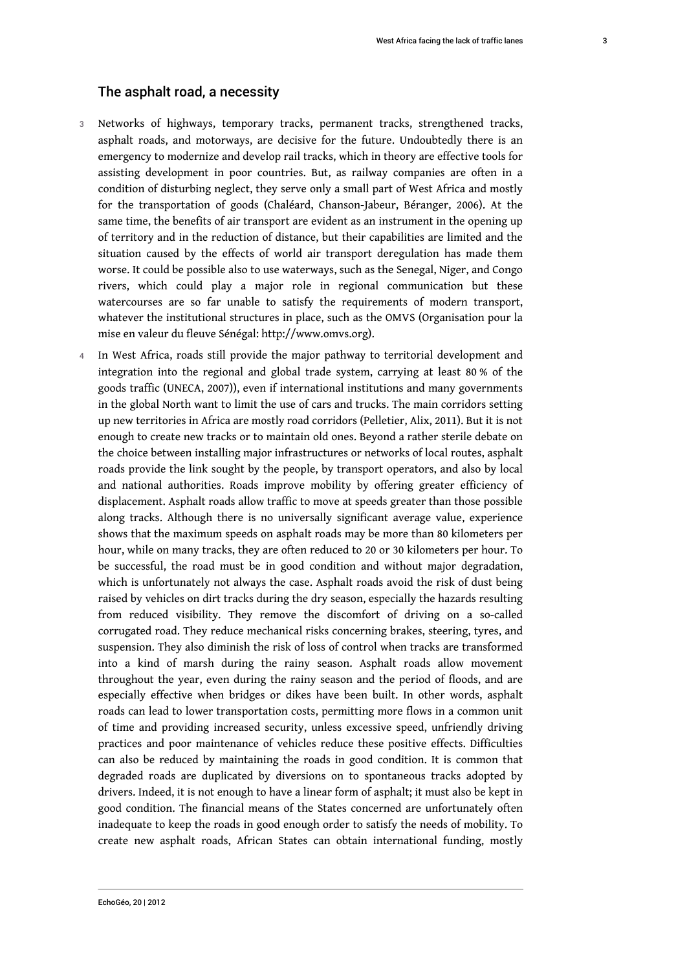### The asphalt road, a necessity

- 3 Networks of highways, temporary tracks, permanent tracks, strengthened tracks, asphalt roads, and motorways, are decisive for the future. Undoubtedly there is an emergency to modernize and develop rail tracks, which in theory are effective tools for assisting development in poor countries. But, as railway companies are often in a condition of disturbing neglect, they serve only a small part of West Africa and mostly for the transportation of goods (Chaléard, Chanson-Jabeur, Béranger, 2006). At the same time, the benefits of air transport are evident as an instrument in the opening up of territory and in the reduction of distance, but their capabilities are limited and the situation caused by the effects of world air transport deregulation has made them worse. It could be possible also to use waterways, such as the Senegal, Niger, and Congo rivers, which could play a major role in regional communication but these watercourses are so far unable to satisfy the requirements of modern transport, whatever the institutional structures in place, such as the OMVS (Organisation pour la mise en valeur du fleuve Sénégal: [http://www.omvs.org](http://www.omvs.org/)).
- In West Africa, roads still provide the major pathway to territorial development and integration into the regional and global trade system, carrying at least 80 % of the goods traffic (UNECA, 2007)), even if international institutions and many governments in the global North want to limit the use of cars and trucks. The main corridors setting up new territories in Africa are mostly road corridors (Pelletier, Alix, 2011). But it is not enough to create new tracks or to maintain old ones. Beyond a rather sterile debate on the choice between installing major infrastructures or networks of local routes, asphalt roads provide the link sought by the people, by transport operators, and also by local and national authorities. Roads improve mobility by offering greater efficiency of displacement. Asphalt roads allow traffic to move at speeds greater than those possible along tracks. Although there is no universally significant average value, experience shows that the maximum speeds on asphalt roads may be more than 80 kilometers per hour, while on many tracks, they are often reduced to 20 or 30 kilometers per hour. To be successful, the road must be in good condition and without major degradation, which is unfortunately not always the case. Asphalt roads avoid the risk of dust being raised by vehicles on dirt tracks during the dry season, especially the hazards resulting from reduced visibility. They remove the discomfort of driving on a so-called corrugated road. They reduce mechanical risks concerning brakes, steering, tyres, and suspension. They also diminish the risk of loss of control when tracks are transformed into a kind of marsh during the rainy season. Asphalt roads allow movement throughout the year, even during the rainy season and the period of floods, and are especially effective when bridges or dikes have been built. In other words, asphalt roads can lead to lower transportation costs, permitting more flows in a common unit of time and providing increased security, unless excessive speed, unfriendly driving practices and poor maintenance of vehicles reduce these positive effects. Difficulties can also be reduced by maintaining the roads in good condition. It is common that degraded roads are duplicated by diversions on to spontaneous tracks adopted by drivers. Indeed, it is not enough to have a linear form of asphalt; it must also be kept in good condition. The financial means of the States concerned are unfortunately often inadequate to keep the roads in good enough order to satisfy the needs of mobility. To create new asphalt roads, African States can obtain international funding, mostly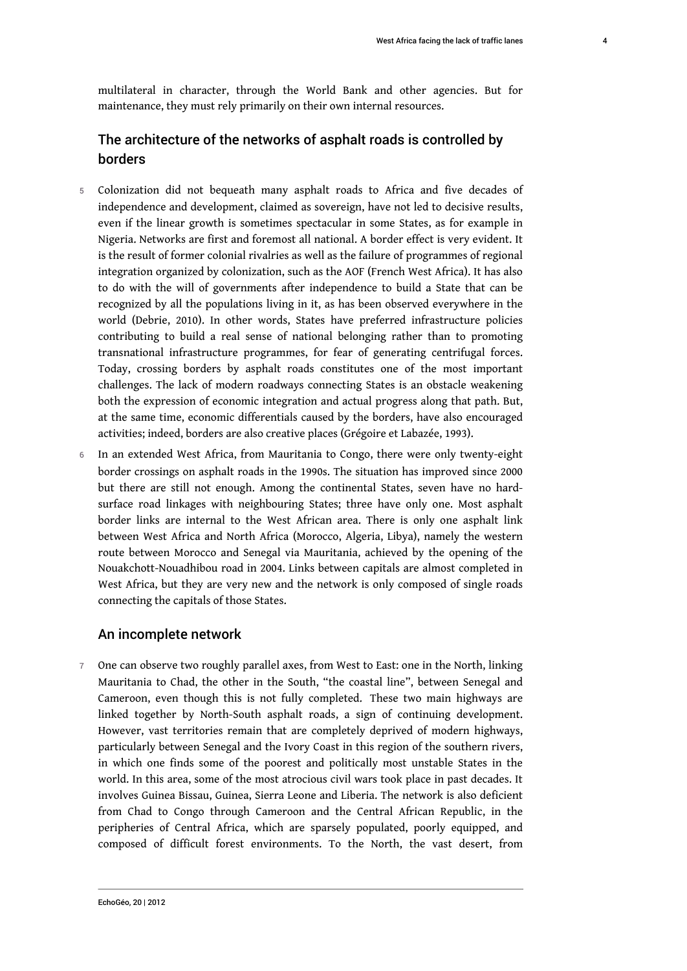4

multilateral in character, through the World Bank and other agencies. But for maintenance, they must rely primarily on their own internal resources.

# The architecture of the networks of asphalt roads is controlled by borders

- 5 Colonization did not bequeath many asphalt roads to Africa and five decades of independence and development, claimed as sovereign, have not led to decisive results, even if the linear growth is sometimes spectacular in some States, as for example in Nigeria. Networks are first and foremost all national. A border effect is very evident. It is the result of former colonial rivalries as well as the failure of programmes of regional integration organized by colonization, such as the AOF (French West Africa). It has also to do with the will of governments after independence to build a State that can be recognized by all the populations living in it, as has been observed everywhere in the world (Debrie, 2010). In other words, States have preferred infrastructure policies contributing to build a real sense of national belonging rather than to promoting transnational infrastructure programmes, for fear of generating centrifugal forces. Today, crossing borders by asphalt roads constitutes one of the most important challenges. The lack of modern roadways connecting States is an obstacle weakening both the expression of economic integration and actual progress along that path. But, at the same time, economic differentials caused by the borders, have also encouraged activities; indeed, borders are also creative places (Grégoire et Labazée, 1993).
- 6 In an extended West Africa, from Mauritania to Congo, there were only twenty-eight border crossings on asphalt roads in the 1990s. The situation has improved since 2000 but there are still not enough. Among the continental States, seven have no hardsurface road linkages with neighbouring States; three have only one. Most asphalt border links are internal to the West African area. There is only one asphalt link between West Africa and North Africa (Morocco, Algeria, Libya), namely the western route between Morocco and Senegal via Mauritania, achieved by the opening of the Nouakchott-Nouadhibou road in 2004. Links between capitals are almost completed in West Africa, but they are very new and the network is only composed of single roads connecting the capitals of those States.

#### An incomplete network

7 One can observe two roughly parallel axes, from West to East: one in the North, linking Mauritania to Chad, the other in the South, "the coastal line", between Senegal and Cameroon, even though this is not fully completed. These two main highways are linked together by North-South asphalt roads, a sign of continuing development. However, vast territories remain that are completely deprived of modern highways, particularly between Senegal and the Ivory Coast in this region of the southern rivers, in which one finds some of the poorest and politically most unstable States in the world. In this area, some of the most atrocious civil wars took place in past decades. It involves Guinea Bissau, Guinea, Sierra Leone and Liberia. The network is also deficient from Chad to Congo through Cameroon and the Central African Republic, in the peripheries of Central Africa, which are sparsely populated, poorly equipped, and composed of difficult forest environments. To the North, the vast desert, from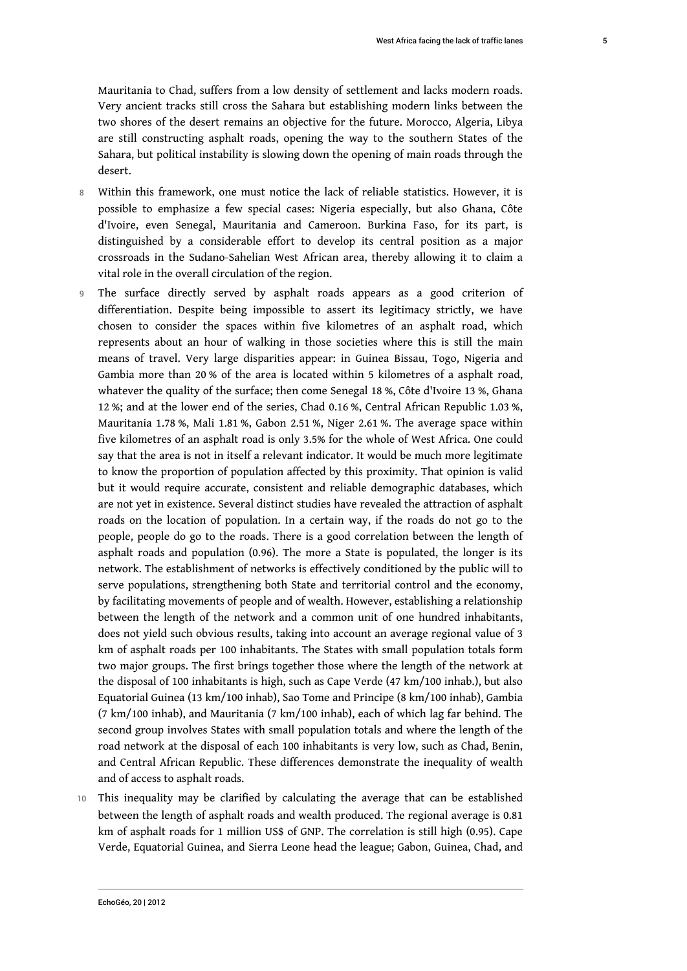Mauritania to Chad, suffers from a low density of settlement and lacks modern roads. Very ancient tracks still cross the Sahara but establishing modern links between the two shores of the desert remains an objective for the future. Morocco, Algeria, Libya are still constructing asphalt roads, opening the way to the southern States of the Sahara, but political instability is slowing down the opening of main roads through the desert.

- 8 Within this framework, one must notice the lack of reliable statistics. However, it is possible to emphasize a few special cases: Nigeria especially, but also Ghana, Côte d'Ivoire, even Senegal, Mauritania and Cameroon. Burkina Faso, for its part, is distinguished by a considerable effort to develop its central position as a major crossroads in the Sudano-Sahelian West African area, thereby allowing it to claim a vital role in the overall circulation of the region.
- 9 The surface directly served by asphalt roads appears as a good criterion of differentiation. Despite being impossible to assert its legitimacy strictly, we have chosen to consider the spaces within five kilometres of an asphalt road, which represents about an hour of walking in those societies where this is still the main means of travel. Very large disparities appear: in Guinea Bissau, Togo, Nigeria and Gambia more than 20 % of the area is located within 5 kilometres of a asphalt road, whatever the quality of the surface; then come Senegal 18 %, Côte d'Ivoire 13 %, Ghana 12 %; and at the lower end of the series, Chad 0.16 %, Central African Republic 1.03 %, Mauritania 1.78 %, Mali 1.81 %, Gabon 2.51 %, Niger 2.61 %. The average space within five kilometres of an asphalt road is only 3.5% for the whole of West Africa. One could say that the area is not in itself a relevant indicator. It would be much more legitimate to know the proportion of population affected by this proximity. That opinion is valid but it would require accurate, consistent and reliable demographic databases, which are not yet in existence. Several distinct studies have revealed the attraction of asphalt roads on the location of population. In a certain way, if the roads do not go to the people, people do go to the roads. There is a good correlation between the length of asphalt roads and population (0.96). The more a State is populated, the longer is its network. The establishment of networks is effectively conditioned by the public will to serve populations, strengthening both State and territorial control and the economy, by facilitating movements of people and of wealth. However, establishing a relationship between the length of the network and a common unit of one hundred inhabitants, does not yield such obvious results, taking into account an average regional value of 3 km of asphalt roads per 100 inhabitants. The States with small population totals form two major groups. The first brings together those where the length of the network at the disposal of 100 inhabitants is high, such as Cape Verde (47 km/100 inhab.), but also Equatorial Guinea (13 km/100 inhab), Sao Tome and Principe (8 km/100 inhab), Gambia (7 km/100 inhab), and Mauritania (7 km/100 inhab), each of which lag far behind. The second group involves States with small population totals and where the length of the road network at the disposal of each 100 inhabitants is very low, such as Chad, Benin, and Central African Republic. These differences demonstrate the inequality of wealth and of access to asphalt roads.
- 10 This inequality may be clarified by calculating the average that can be established between the length of asphalt roads and wealth produced. The regional average is 0.81 km of asphalt roads for 1 million US\$ of GNP. The correlation is still high (0.95). Cape Verde, Equatorial Guinea, and Sierra Leone head the league; Gabon, Guinea, Chad, and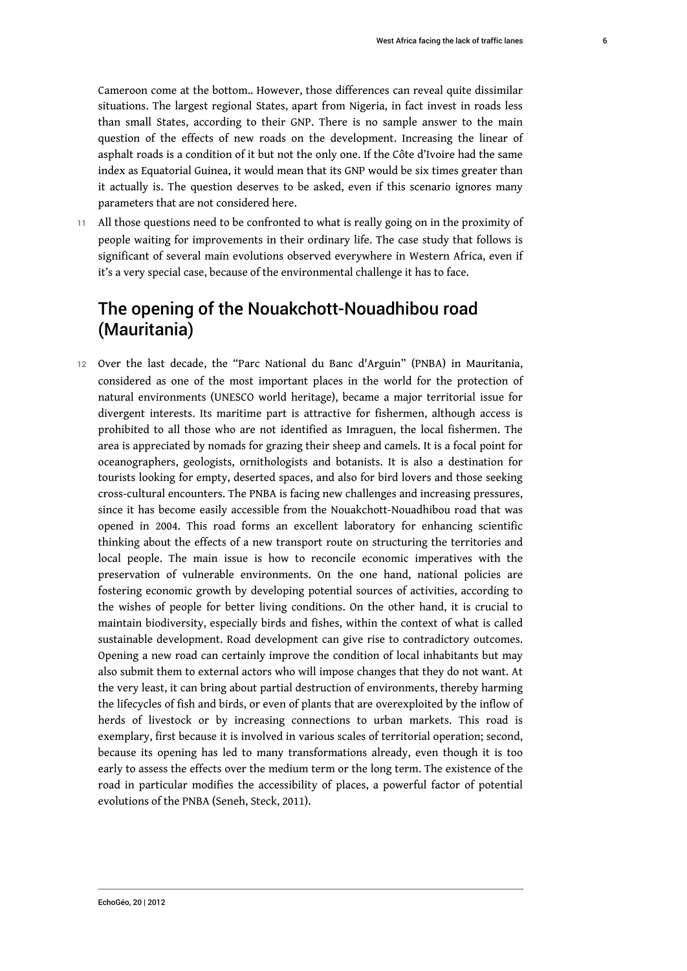Cameroon come at the bottom.. However, those differences can reveal quite dissimilar situations. The largest regional States, apart from Nigeria, in fact invest in roads less than small States, according to their GNP. There is no sample answer to the main question of the effects of new roads on the development. Increasing the linear of asphalt roads is a condition of it but not the only one. If the Côte d'Ivoire had the same index as Equatorial Guinea, it would mean that its GNP would be six times greater than it actually is. The question deserves to be asked, even if this scenario ignores many parameters that are not considered here.

11 All those questions need to be confronted to what is really going on in the proximity of people waiting for improvements in their ordinary life. The case study that follows is significant of several main evolutions observed everywhere in Western Africa, even if it's a very special case, because of the environmental challenge it has to face.

# The opening of the Nouakchott-Nouadhibou road (Mauritania)

12 Over the last decade, the "Parc National du Banc d'Arguin" (PNBA) in Mauritania, considered as one of the most important places in the world for the protection of natural environments (UNESCO world heritage), became a major territorial issue for divergent interests. Its maritime part is attractive for fishermen, although access is prohibited to all those who are not identified as Imraguen, the local fishermen. The area is appreciated by nomads for grazing their sheep and camels. It is a focal point for oceanographers, geologists, ornithologists and botanists. It is also a destination for tourists looking for empty, deserted spaces, and also for bird lovers and those seeking cross-cultural encounters. The PNBA is facing new challenges and increasing pressures, since it has become easily accessible from the Nouakchott-Nouadhibou road that was opened in 2004. This road forms an excellent laboratory for enhancing scientific thinking about the effects of a new transport route on structuring the territories and local people. The main issue is how to reconcile economic imperatives with the preservation of vulnerable environments. On the one hand, national policies are fostering economic growth by developing potential sources of activities, according to the wishes of people for better living conditions. On the other hand, it is crucial to maintain biodiversity, especially birds and fishes, within the context of what is called sustainable development. Road development can give rise to contradictory outcomes. Opening a new road can certainly improve the condition of local inhabitants but may also submit them to external actors who will impose changes that they do not want. At the very least, it can bring about partial destruction of environments, thereby harming the lifecycles of fish and birds, or even of plants that are overexploited by the inflow of herds of livestock or by increasing connections to urban markets. This road is exemplary, first because it is involved in various scales of territorial operation; second, because its opening has led to many transformations already, even though it is too early to assess the effects over the medium term or the long term. The existence of the road in particular modifies the accessibility of places, a powerful factor of potential evolutions of the PNBA (Seneh, Steck, 2011).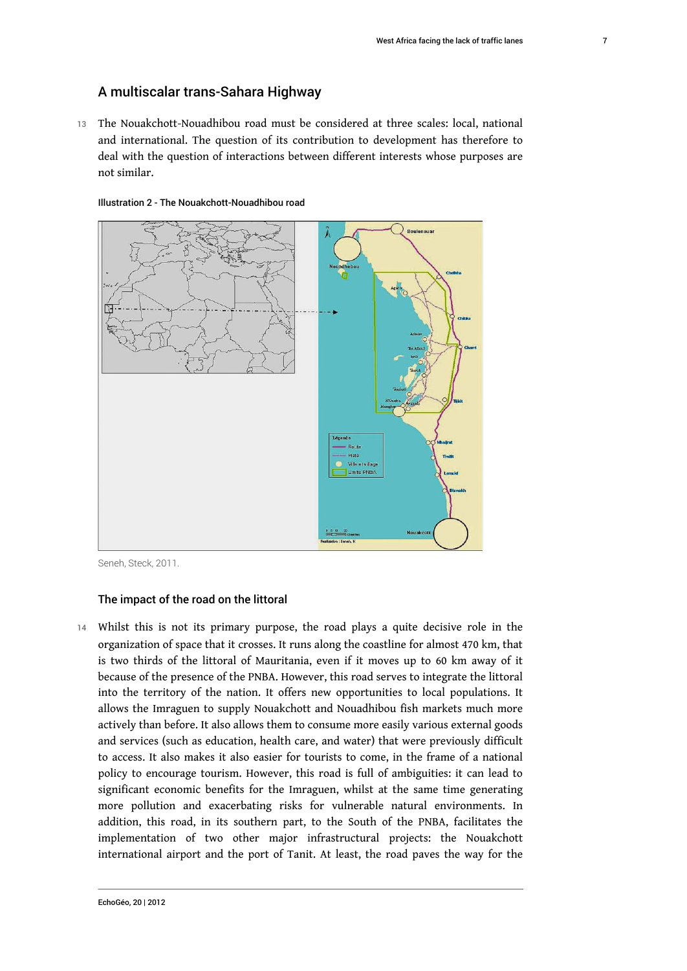### A multiscalar trans-Sahara Highway

13 The Nouakchott-Nouadhibou road must be considered at three scales: local, national and international. The question of its contribution to development has therefore to deal with the question of interactions between different interests whose purposes are not similar.





Seneh, Steck, 2011.

#### The impact of the road on the littoral

14 Whilst this is not its primary purpose, the road plays a quite decisive role in the organization of space that it crosses. It runs along the coastline for almost 470 km, that is two thirds of the littoral of Mauritania, even if it moves up to 60 km away of it because of the presence of the PNBA. However, this road serves to integrate the littoral into the territory of the nation. It offers new opportunities to local populations. It allows the Imraguen to supply Nouakchott and Nouadhibou fish markets much more actively than before. It also allows them to consume more easily various external goods and services (such as education, health care, and water) that were previously difficult to access. It also makes it also easier for tourists to come, in the frame of a national policy to encourage tourism. However, this road is full of ambiguities: it can lead to significant economic benefits for the Imraguen, whilst at the same time generating more pollution and exacerbating risks for vulnerable natural environments. In addition, this road, in its southern part, to the South of the PNBA, facilitates the implementation of two other major infrastructural projects: the Nouakchott international airport and the port of Tanit. At least, the road paves the way for the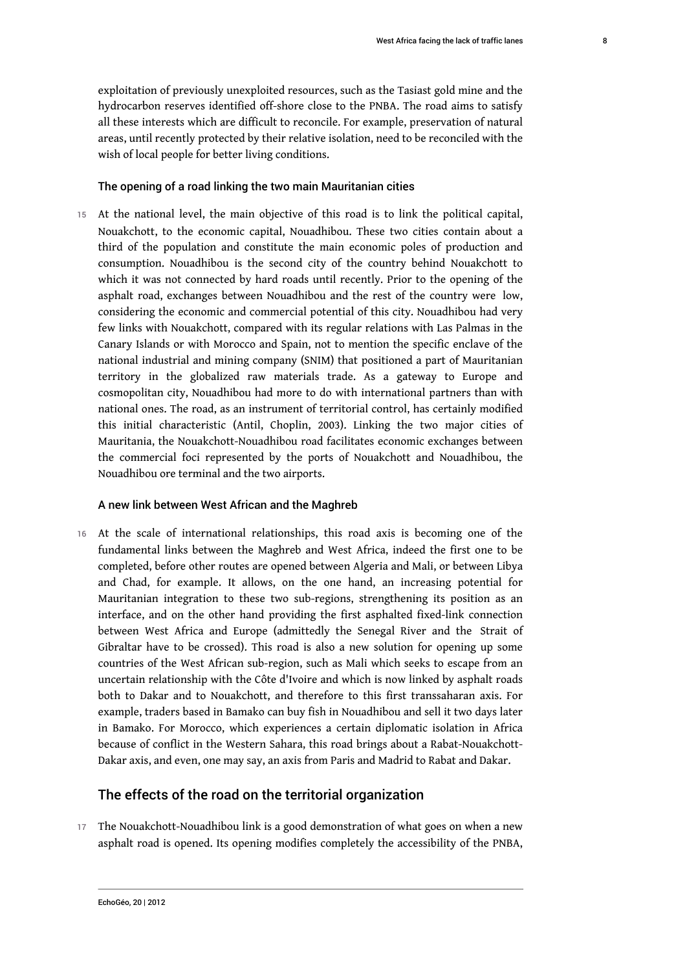exploitation of previously unexploited resources, such as the Tasiast gold mine and the hydrocarbon reserves identified off-shore close to the PNBA. The road aims to satisfy all these interests which are difficult to reconcile. For example, preservation of natural areas, until recently protected by their relative isolation, need to be reconciled with the wish of local people for better living conditions.

#### The opening of a road linking the two main Mauritanian cities

15 At the national level, the main objective of this road is to link the political capital, Nouakchott, to the economic capital, Nouadhibou. These two cities contain about a third of the population and constitute the main economic poles of production and consumption. Nouadhibou is the second city of the country behind Nouakchott to which it was not connected by hard roads until recently. Prior to the opening of the asphalt road, exchanges between Nouadhibou and the rest of the country were low, considering the economic and commercial potential of this city. Nouadhibou had very few links with Nouakchott, compared with its regular relations with Las Palmas in the Canary Islands or with Morocco and Spain, not to mention the specific enclave of the national industrial and mining company (SNIM) that positioned a part of Mauritanian territory in the globalized raw materials trade. As a gateway to Europe and cosmopolitan city, Nouadhibou had more to do with international partners than with national ones. The road, as an instrument of territorial control, has certainly modified this initial characteristic (Antil, Choplin, 2003). Linking the two major cities of Mauritania, the Nouakchott-Nouadhibou road facilitates economic exchanges between the commercial foci represented by the ports of Nouakchott and Nouadhibou, the Nouadhibou ore terminal and the two airports.

#### A new link between West African and the Maghreb

16 At the scale of international relationships, this road axis is becoming one of the fundamental links between the Maghreb and West Africa, indeed the first one to be completed, before other routes are opened between Algeria and Mali, or between Libya and Chad, for example. It allows, on the one hand, an increasing potential for Mauritanian integration to these two sub-regions, strengthening its position as an interface, and on the other hand providing the first asphalted fixed-link connection between West Africa and Europe (admittedly the Senegal River and the Strait of Gibraltar have to be crossed). This road is also a new solution for opening up some countries of the West African sub-region, such as Mali which seeks to escape from an uncertain relationship with the Côte d'Ivoire and which is now linked by asphalt roads both to Dakar and to Nouakchott, and therefore to this first transsaharan axis. For example, traders based in Bamako can buy fish in Nouadhibou and sell it two days later in Bamako. For Morocco, which experiences a certain diplomatic isolation in Africa because of conflict in the Western Sahara, this road brings about a Rabat-Nouakchott-Dakar axis, and even, one may say, an axis from Paris and Madrid to Rabat and Dakar.

#### The effects of the road on the territorial organization

17 The Nouakchott-Nouadhibou link is a good demonstration of what goes on when a new asphalt road is opened. Its opening modifies completely the accessibility of the PNBA,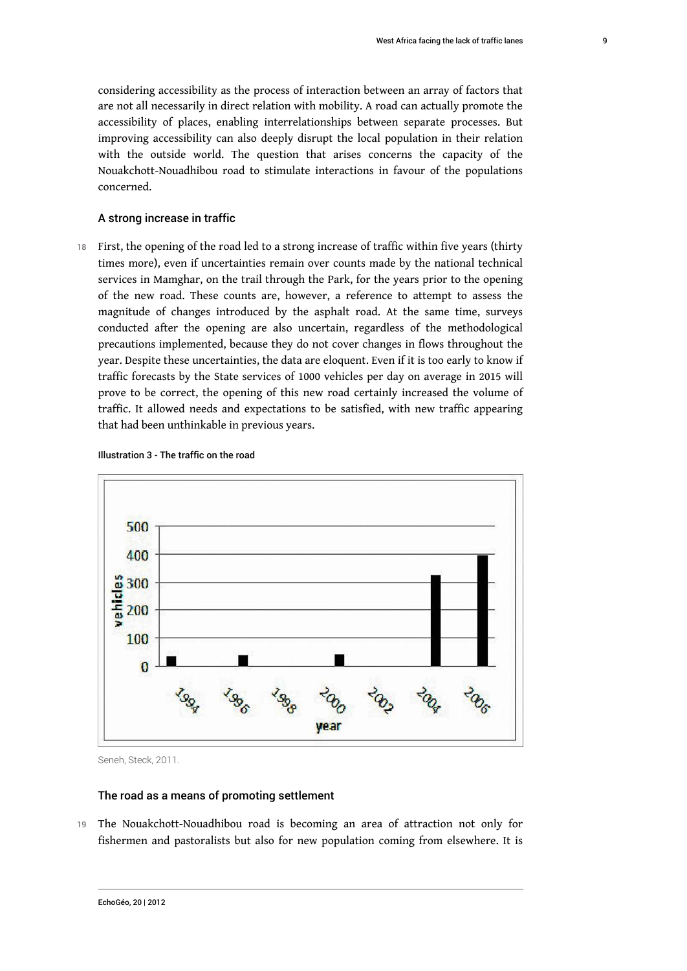considering accessibility as the process of interaction between an array of factors that are not all necessarily in direct relation with mobility. A road can actually promote the accessibility of places, enabling interrelationships between separate processes. But improving accessibility can also deeply disrupt the local population in their relation with the outside world. The question that arises concerns the capacity of the Nouakchott-Nouadhibou road to stimulate interactions in favour of the populations concerned.

#### A strong increase in traffic

18 First, the opening of the road led to a strong increase of traffic within five years (thirty times more), even if uncertainties remain over counts made by the national technical services in Mamghar, on the trail through the Park, for the years prior to the opening of the new road. These counts are, however, a reference to attempt to assess the magnitude of changes introduced by the asphalt road. At the same time, surveys conducted after the opening are also uncertain, regardless of the methodological precautions implemented, because they do not cover changes in flows throughout the year. Despite these uncertainties, the data are eloquent. Even if it is too early to know if traffic forecasts by the State services of 1000 vehicles per day on average in 2015 will prove to be correct, the opening of this new road certainly increased the volume of traffic. It allowed needs and expectations to be satisfied, with new traffic appearing that had been unthinkable in previous years.





Seneh, Steck, 2011.

#### The road as a means of promoting settlement

19 The Nouakchott-Nouadhibou road is becoming an area of attraction not only for fishermen and pastoralists but also for new population coming from elsewhere. It is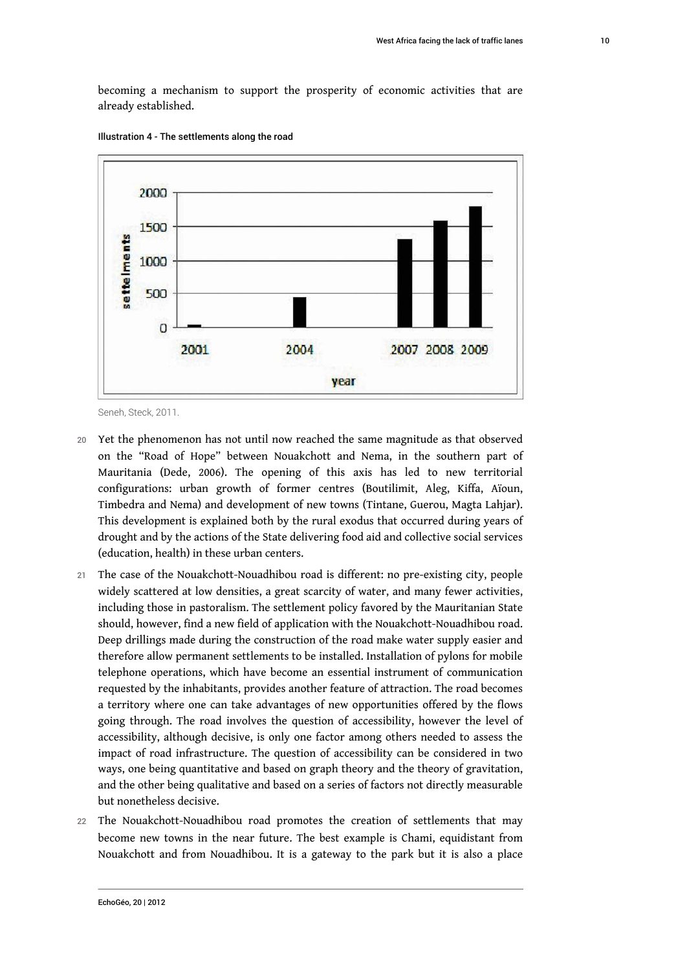becoming a mechanism to support the prosperity of economic activities that are already established.



Illustration 4 - The settlements along the road

- 20 Yet the phenomenon has not until now reached the same magnitude as that observed on the "Road of Hope" between Nouakchott and Nema, in the southern part of Mauritania (Dede, 2006). The opening of this axis has led to new territorial configurations: urban growth of former centres (Boutilimit, Aleg, Kiffa, Aïoun, Timbedra and Nema) and development of new towns (Tintane, Guerou, Magta Lahjar). This development is explained both by the rural exodus that occurred during years of drought and by the actions of the State delivering food aid and collective social services (education, health) in these urban centers.
- 21 The case of the Nouakchott-Nouadhibou road is different: no pre-existing city, people widely scattered at low densities, a great scarcity of water, and many fewer activities, including those in pastoralism. The settlement policy favored by the Mauritanian State should, however, find a new field of application with the Nouakchott-Nouadhibou road. Deep drillings made during the construction of the road make water supply easier and therefore allow permanent settlements to be installed. Installation of pylons for mobile telephone operations, which have become an essential instrument of communication requested by the inhabitants, provides another feature of attraction. The road becomes a territory where one can take advantages of new opportunities offered by the flows going through. The road involves the question of accessibility, however the level of accessibility, although decisive, is only one factor among others needed to assess the impact of road infrastructure. The question of accessibility can be considered in two ways, one being quantitative and based on graph theory and the theory of gravitation, and the other being qualitative and based on a series of factors not directly measurable but nonetheless decisive.
- 22 The Nouakchott-Nouadhibou road promotes the creation of settlements that may become new towns in the near future. The best example is Chami, equidistant from Nouakchott and from Nouadhibou. It is a gateway to the park but it is also a place

Seneh, Steck, 2011.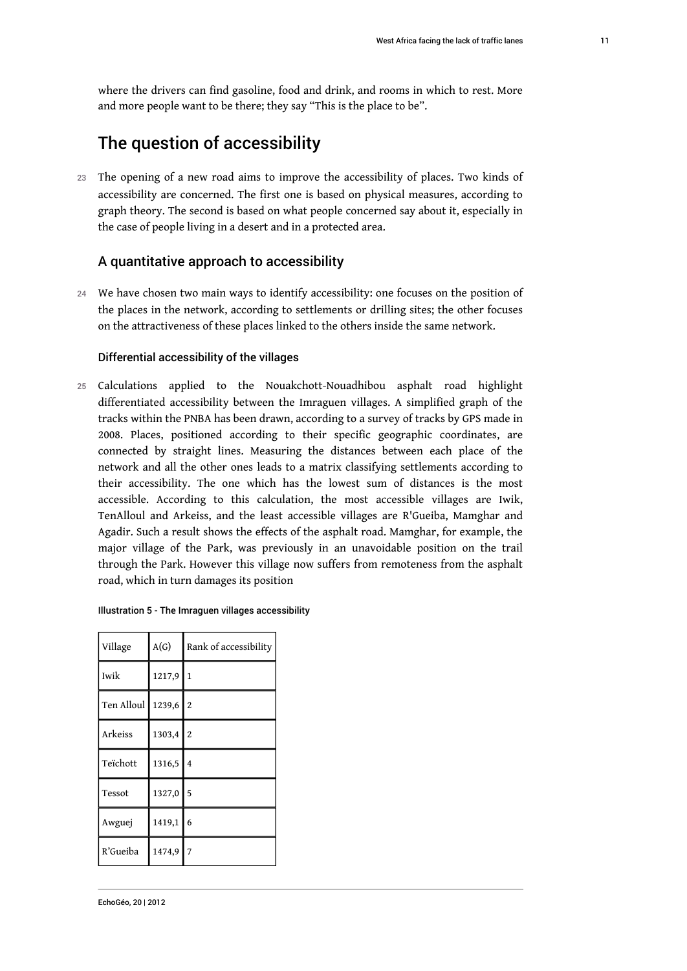where the drivers can find gasoline, food and drink, and rooms in which to rest. More and more people want to be there; they say "This is the place to be".

# The question of accessibility

23 The opening of a new road aims to improve the accessibility of places. Two kinds of accessibility are concerned. The first one is based on physical measures, according to graph theory. The second is based on what people concerned say about it, especially in the case of people living in a desert and in a protected area.

#### A quantitative approach to accessibility

24 We have chosen two main ways to identify accessibility: one focuses on the position of the places in the network, according to settlements or drilling sites; the other focuses on the attractiveness of these places linked to the others inside the same network.

#### Differential accessibility of the villages

25 Calculations applied to the Nouakchott-Nouadhibou asphalt road highlight differentiated accessibility between the Imraguen villages. A simplified graph of the tracks within the PNBA has been drawn, according to a survey of tracks by GPS made in 2008. Places, positioned according to their specific geographic coordinates, are connected by straight lines. Measuring the distances between each place of the network and all the other ones leads to a matrix classifying settlements according to their accessibility. The one which has the lowest sum of distances is the most accessible. According to this calculation, the most accessible villages are Iwik, TenAlloul and Arkeiss, and the least accessible villages are R'Gueiba, Mamghar and Agadir. Such a result shows the effects of the asphalt road. Mamghar, for example, the major village of the Park, was previously in an unavoidable position on the trail through the Park. However this village now suffers from remoteness from the asphalt road, which in turn damages its position

| Illustration 5 - The Imraguen villages accessibility |  |  |  |  |
|------------------------------------------------------|--|--|--|--|
|------------------------------------------------------|--|--|--|--|

| Village    | A(G)   | Rank of accessibility |
|------------|--------|-----------------------|
| Iwik       | 1217,9 | $\mathbf{1}$          |
| Ten Alloul | 1239,6 | $\overline{2}$        |
| Arkeiss    | 1303,4 | $\overline{2}$        |
| Teïchott   | 1316,5 | 4                     |
| Tessot     | 1327,0 | 5                     |
| Awguej     | 1419,1 | 6                     |
| R'Gueiba   | 1474,9 | $\overline{7}$        |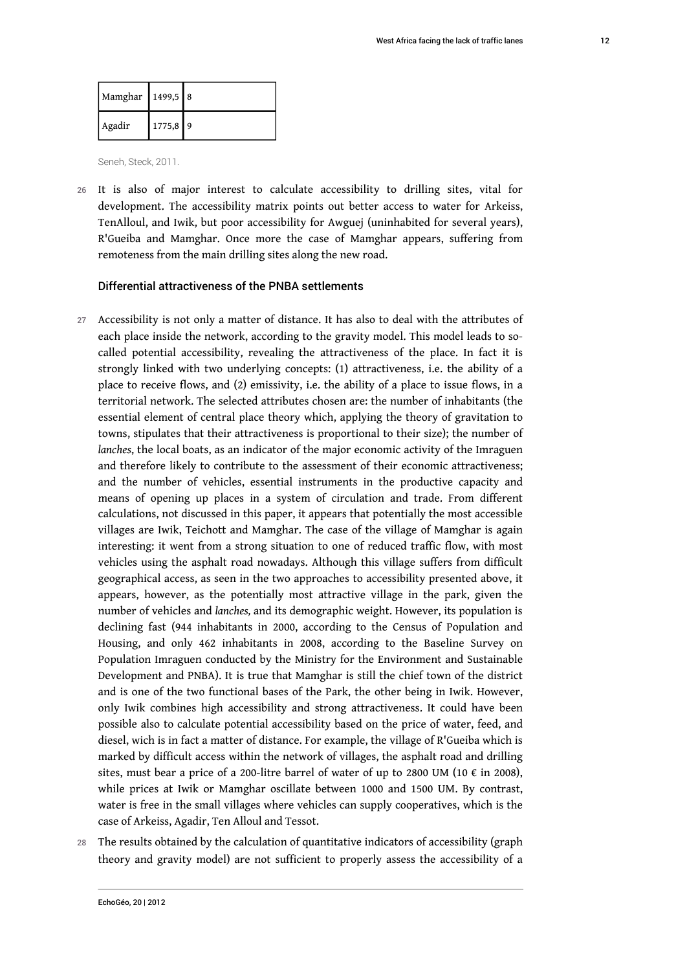| Mamghar 1499,5 8 |          |  |
|------------------|----------|--|
| Agadir           | 1775,8 9 |  |

Seneh, Steck, 2011.

26 It is also of major interest to calculate accessibility to drilling sites, vital for development. The accessibility matrix points out better access to water for Arkeiss, TenAlloul, and Iwik, but poor accessibility for Awguej (uninhabited for several years), R'Gueiba and Mamghar. Once more the case of Mamghar appears, suffering from remoteness from the main drilling sites along the new road.

#### Differential attractiveness of the PNBA settlements

- 27 Accessibility is not only a matter of distance. It has also to deal with the attributes of each place inside the network, according to the gravity model. This model leads to socalled potential accessibility, revealing the attractiveness of the place. In fact it is strongly linked with two underlying concepts: (1) attractiveness, i.e. the ability of a place to receive flows, and (2) emissivity, i.e. the ability of a place to issue flows, in a territorial network. The selected attributes chosen are: the number of inhabitants (the essential element of central place theory which, applying the theory of gravitation to towns, stipulates that their attractiveness is proportional to their size); the number of *lanches*, the local boats, as an indicator of the major economic activity of the Imraguen and therefore likely to contribute to the assessment of their economic attractiveness; and the number of vehicles, essential instruments in the productive capacity and means of opening up places in a system of circulation and trade. From different calculations, not discussed in this paper, it appears that potentially the most accessible villages are Iwik, Teichott and Mamghar. The case of the village of Mamghar is again interesting: it went from a strong situation to one of reduced traffic flow, with most vehicles using the asphalt road nowadays. Although this village suffers from difficult geographical access, as seen in the two approaches to accessibility presented above, it appears, however, as the potentially most attractive village in the park, given the number of vehicles and *lanches,* and its demographic weight. However, its population is declining fast (944 inhabitants in 2000, according to the Census of Population and Housing, and only 462 inhabitants in 2008, according to the Baseline Survey on Population Imraguen conducted by the Ministry for the Environment and Sustainable Development and PNBA). It is true that Mamghar is still the chief town of the district and is one of the two functional bases of the Park, the other being in Iwik. However, only Iwik combines high accessibility and strong attractiveness. It could have been possible also to calculate potential accessibility based on the price of water, feed, and diesel, wich is in fact a matter of distance. For example, the village of R'Gueiba which is marked by difficult access within the network of villages, the asphalt road and drilling sites, must bear a price of a 200-litre barrel of water of up to 2800 UM (10  $\epsilon$  in 2008), while prices at Iwik or Mamghar oscillate between 1000 and 1500 UM. By contrast, water is free in the small villages where vehicles can supply cooperatives, which is the case of Arkeiss, Agadir, Ten Alloul and Tessot.
- 28 The results obtained by the calculation of quantitative indicators of accessibility (graph theory and gravity model) are not sufficient to properly assess the accessibility of a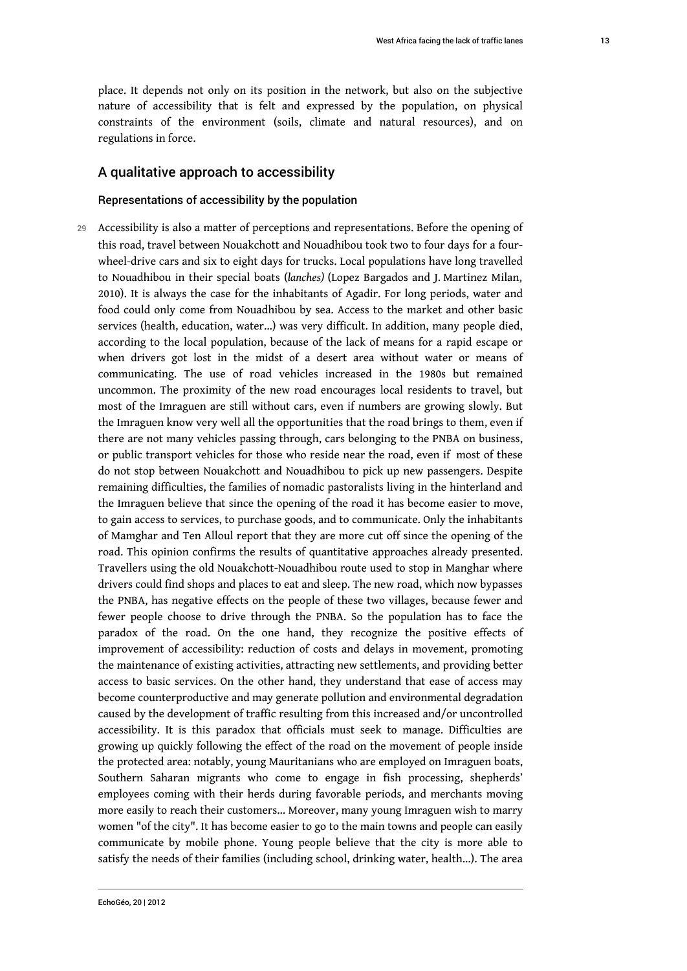place. It depends not only on its position in the network, but also on the subjective nature of accessibility that is felt and expressed by the population, on physical constraints of the environment (soils, climate and natural resources), and on regulations in force.

#### A qualitative approach to accessibility

#### Representations of accessibility by the population

29 Accessibility is also a matter of perceptions and representations. Before the opening of this road, travel between Nouakchott and Nouadhibou took two to four days for a fourwheel-drive cars and six to eight days for trucks. Local populations have long travelled to Nouadhibou in their special boats (*lanches)* (Lopez Bargados and J. Martinez Milan, 2010). It is always the case for the inhabitants of Agadir. For long periods, water and food could only come from Nouadhibou by sea. Access to the market and other basic services (health, education, water…) was very difficult. In addition, many people died, according to the local population, because of the lack of means for a rapid escape or when drivers got lost in the midst of a desert area without water or means of communicating. The use of road vehicles increased in the 1980s but remained uncommon. The proximity of the new road encourages local residents to travel, but most of the Imraguen are still without cars, even if numbers are growing slowly. But the Imraguen know very well all the opportunities that the road brings to them, even if there are not many vehicles passing through, cars belonging to the PNBA on business, or public transport vehicles for those who reside near the road, even if most of these do not stop between Nouakchott and Nouadhibou to pick up new passengers. Despite remaining difficulties, the families of nomadic pastoralists living in the hinterland and the Imraguen believe that since the opening of the road it has become easier to move, to gain access to services, to purchase goods, and to communicate. Only the inhabitants of Mamghar and Ten Alloul report that they are more cut off since the opening of the road. This opinion confirms the results of quantitative approaches already presented. Travellers using the old Nouakchott-Nouadhibou route used to stop in Manghar where drivers could find shops and places to eat and sleep. The new road, which now bypasses the PNBA, has negative effects on the people of these two villages, because fewer and fewer people choose to drive through the PNBA. So the population has to face the paradox of the road. On the one hand, they recognize the positive effects of improvement of accessibility: reduction of costs and delays in movement, promoting the maintenance of existing activities, attracting new settlements, and providing better access to basic services. On the other hand, they understand that ease of access may become counterproductive and may generate pollution and environmental degradation caused by the development of traffic resulting from this increased and/or uncontrolled accessibility. It is this paradox that officials must seek to manage. Difficulties are growing up quickly following the effect of the road on the movement of people inside the protected area: notably, young Mauritanians who are employed on Imraguen boats, Southern Saharan migrants who come to engage in fish processing, shepherds' employees coming with their herds during favorable periods, and merchants moving more easily to reach their customers… Moreover, many young Imraguen wish to marry women "of the city". It has become easier to go to the main towns and people can easily communicate by mobile phone. Young people believe that the city is more able to satisfy the needs of their families (including school, drinking water, health…). The area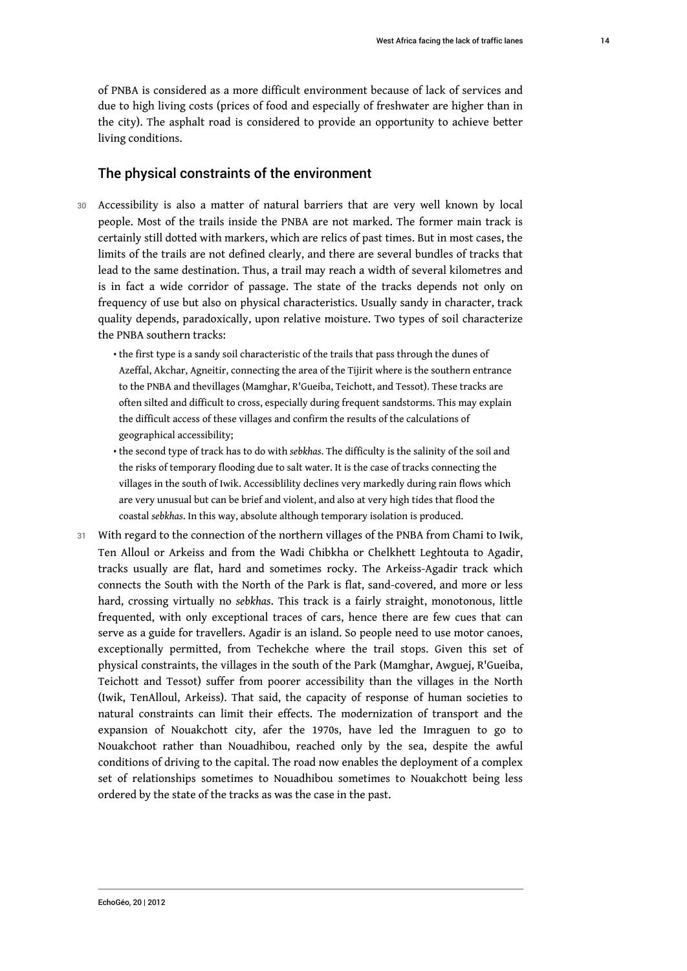of PNBA is considered as a more difficult environment because of lack of services and due to high living costs (prices of food and especially of freshwater are higher than in the city). The asphalt road is considered to provide an opportunity to achieve better living conditions.

#### The physical constraints of the environment

- 30 Accessibility is also a matter of natural barriers that are very well known by local people. Most of the trails inside the PNBA are not marked. The former main track is certainly still dotted with markers, which are relics of past times. But in most cases, the limits of the trails are not defined clearly, and there are several bundles of tracks that lead to the same destination. Thus, a trail may reach a width of several kilometres and is in fact a wide corridor of passage. The state of the tracks depends not only on frequency of use but also on physical characteristics. Usually sandy in character, track quality depends, paradoxically, upon relative moisture. Two types of soil characterize the PNBA southern tracks:
	- $\bullet$  the first type is a sandy soil characteristic of the trails that pass through the dunes of Azeffal, Akchar, Agneitir, connecting the area of the Tijirit where is the southern entrance to the PNBA and thevillages (Mamghar, R'Gueiba, Teichott, and Tessot). These tracks are often silted and difficult to cross, especially during frequent sandstorms. This may explain the difficult access of these villages and confirm the results of the calculations of geographical accessibility;
	- the second type of track has to do with *sebkhas*. The difficulty is the salinity of the soil and the risks of temporary flooding due to salt water. It is the case of tracks connecting the villages in the south of Iwik. Accessiblility declines very markedly during rain flows which are very unusual but can be brief and violent, and also at very high tides that flood the coastal *sebkhas*. In this way, absolute although temporary isolation is produced.
- 31 With regard to the connection of the northern villages of the PNBA from Chami to Iwik, Ten Alloul or Arkeiss and from the Wadi Chibkha or Chelkhett Leghtouta to Agadir, tracks usually are flat, hard and sometimes rocky. The Arkeiss-Agadir track which connects the South with the North of the Park is flat, sand-covered, and more or less hard, crossing virtually no *sebkhas*. This track is a fairly straight, monotonous, little frequented, with only exceptional traces of cars, hence there are few cues that can serve as a guide for travellers. Agadir is an island. So people need to use motor canoes, exceptionally permitted, from Techekche where the trail stops. Given this set of physical constraints, the villages in the south of the Park (Mamghar, Awguej, R'Gueiba, Teichott and Tessot) suffer from poorer accessibility than the villages in the North (Iwik, TenAlloul, Arkeiss). That said, the capacity of response of human societies to natural constraints can limit their effects. The modernization of transport and the expansion of Nouakchott city, afer the 1970s, have led the Imraguen to go to Nouakchoot rather than Nouadhibou, reached only by the sea, despite the awful conditions of driving to the capital. The road now enables the deployment of a complex set of relationships sometimes to Nouadhibou sometimes to Nouakchott being less ordered by the state of the tracks as was the case in the past.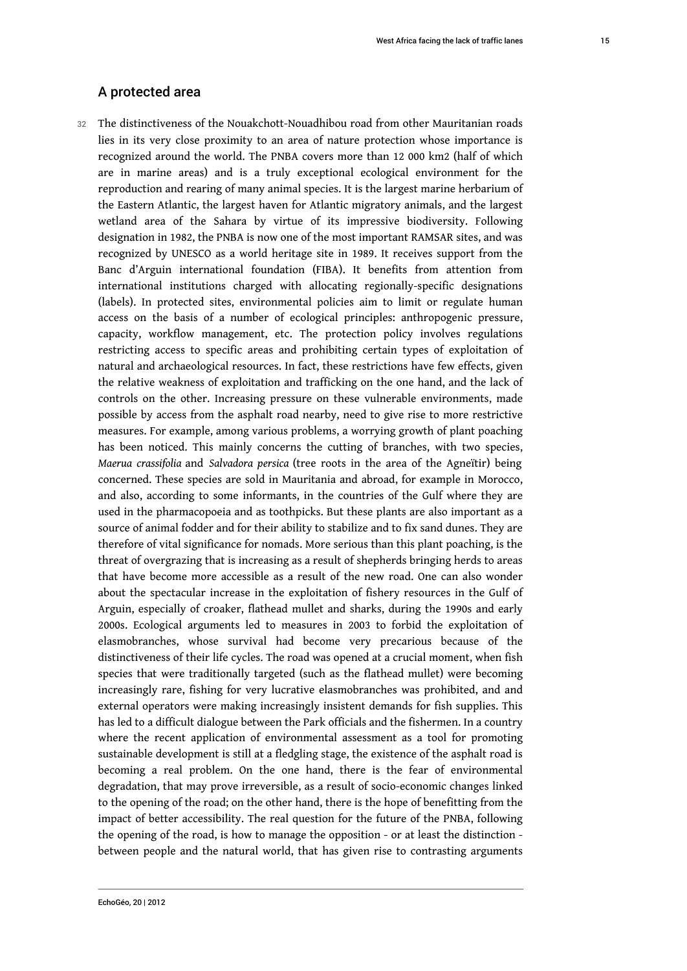### A protected area

32 The distinctiveness of the Nouakchott-Nouadhibou road from other Mauritanian roads lies in its very close proximity to an area of nature protection whose importance is recognized around the world. The PNBA covers more than 12 000 km2 (half of which are in marine areas) and is a truly exceptional ecological environment for the reproduction and rearing of many animal species. It is the largest marine herbarium of the Eastern Atlantic, the largest haven for Atlantic migratory animals, and the largest wetland area of the Sahara by virtue of its impressive biodiversity. Following designation in 1982, the PNBA is now one of the most important RAMSAR sites, and was recognized by UNESCO as a world heritage site in 1989. It receives support from the Banc d'Arguin international foundation (FIBA). It benefits from attention from international institutions charged with allocating regionally-specific designations (labels). In protected sites, environmental policies aim to limit or regulate human access on the basis of a number of ecological principles: anthropogenic pressure, capacity, workflow management, etc. The protection policy involves regulations restricting access to specific areas and prohibiting certain types of exploitation of natural and archaeological resources. In fact, these restrictions have few effects, given the relative weakness of exploitation and trafficking on the one hand, and the lack of controls on the other. Increasing pressure on these vulnerable environments, made possible by access from the asphalt road nearby, need to give rise to more restrictive measures. For example, among various problems, a worrying growth of plant poaching has been noticed. This mainly concerns the cutting of branches, with two species, *Maerua crassifolia* and *Salvadora persica* (tree roots in the area of the Agneïtir) being concerned. These species are sold in Mauritania and abroad, for example in Morocco, and also, according to some informants, in the countries of the Gulf where they are used in the pharmacopoeia and as toothpicks. But these plants are also important as a source of animal fodder and for their ability to stabilize and to fix sand dunes. They are therefore of vital significance for nomads. More serious than this plant poaching, is the threat of overgrazing that is increasing as a result of shepherds bringing herds to areas that have become more accessible as a result of the new road. One can also wonder about the spectacular increase in the exploitation of fishery resources in the Gulf of Arguin, especially of croaker, flathead mullet and sharks, during the 1990s and early 2000s. Ecological arguments led to measures in 2003 to forbid the exploitation of elasmobranches, whose survival had become very precarious because of the distinctiveness of their life cycles. The road was opened at a crucial moment, when fish species that were traditionally targeted (such as the flathead mullet) were becoming increasingly rare, fishing for very lucrative elasmobranches was prohibited, and and external operators were making increasingly insistent demands for fish supplies. This has led to a difficult dialogue between the Park officials and the fishermen. In a country where the recent application of environmental assessment as a tool for promoting sustainable development is still at a fledgling stage, the existence of the asphalt road is becoming a real problem. On the one hand, there is the fear of environmental degradation, that may prove irreversible, as a result of socio-economic changes linked to the opening of the road; on the other hand, there is the hope of benefitting from the impact of better accessibility. The real question for the future of the PNBA, following the opening of the road, is how to manage the opposition - or at least the distinction between people and the natural world, that has given rise to contrasting arguments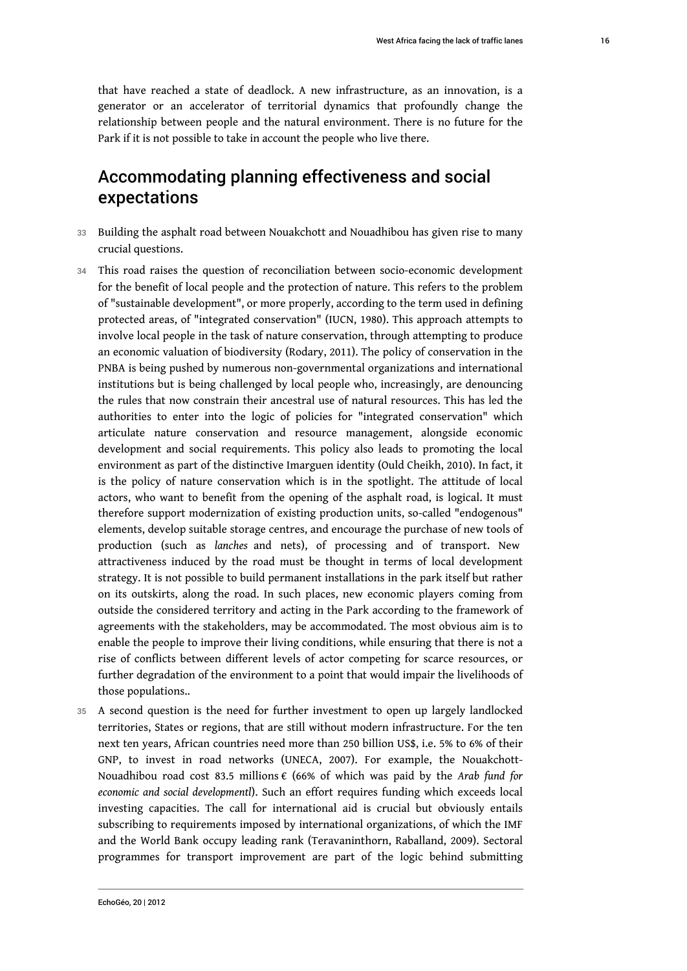that have reached a state of deadlock. A new infrastructure, as an innovation, is a generator or an accelerator of territorial dynamics that profoundly change the relationship between people and the natural environment. There is no future for the Park if it is not possible to take in account the people who live there.

# Accommodating planning effectiveness and social expectations

- 33 Building the asphalt road between Nouakchott and Nouadhibou has given rise to many crucial questions.
- 34 This road raises the question of reconciliation between socio-economic development for the benefit of local people and the protection of nature. This refers to the problem of "sustainable development", or more properly, according to the term used in defining protected areas, of "integrated conservation" (IUCN, 1980). This approach attempts to involve local people in the task of nature conservation, through attempting to produce an economic valuation of biodiversity (Rodary, 2011). The policy of conservation in the PNBA is being pushed by numerous non-governmental organizations and international institutions but is being challenged by local people who, increasingly, are denouncing the rules that now constrain their ancestral use of natural resources. This has led the authorities to enter into the logic of policies for "integrated conservation" which articulate nature conservation and resource management, alongside economic development and social requirements. This policy also leads to promoting the local environment as part of the distinctive Imarguen identity (Ould Cheikh, 2010). In fact, it is the policy of nature conservation which is in the spotlight. The attitude of local actors, who want to benefit from the opening of the asphalt road, is logical. It must therefore support modernization of existing production units, so-called "endogenous" elements, develop suitable storage centres, and encourage the purchase of new tools of production (such as *lanches* and nets), of processing and of transport. New attractiveness induced by the road must be thought in terms of local development strategy. It is not possible to build permanent installations in the park itself but rather on its outskirts, along the road. In such places, new economic players coming from outside the considered territory and acting in the Park according to the framework of agreements with the stakeholders, may be accommodated. The most obvious aim is to enable the people to improve their living conditions, while ensuring that there is not a rise of conflicts between different levels of actor competing for scarce resources, or further degradation of the environment to a point that would impair the livelihoods of those populations..
- 35 A second question is the need for further investment to open up largely landlocked territories, States or regions, that are still without modern infrastructure. For the ten next ten years, African countries need more than 250 billion US\$, i.e. 5% to 6% of their GNP, to invest in road networks (UNECA, 2007). For example, the Nouakchott-Nouadhibou road cost 83.5 millions € (66% of which was paid by the *Arab fund for economic and social developmentl*). Such an effort requires funding which exceeds local investing capacities. The call for international aid is crucial but obviously entails subscribing to requirements imposed by international organizations, of which the IMF and the World Bank occupy leading rank (Teravaninthorn, Raballand, 2009). Sectoral programmes for transport improvement are part of the logic behind submitting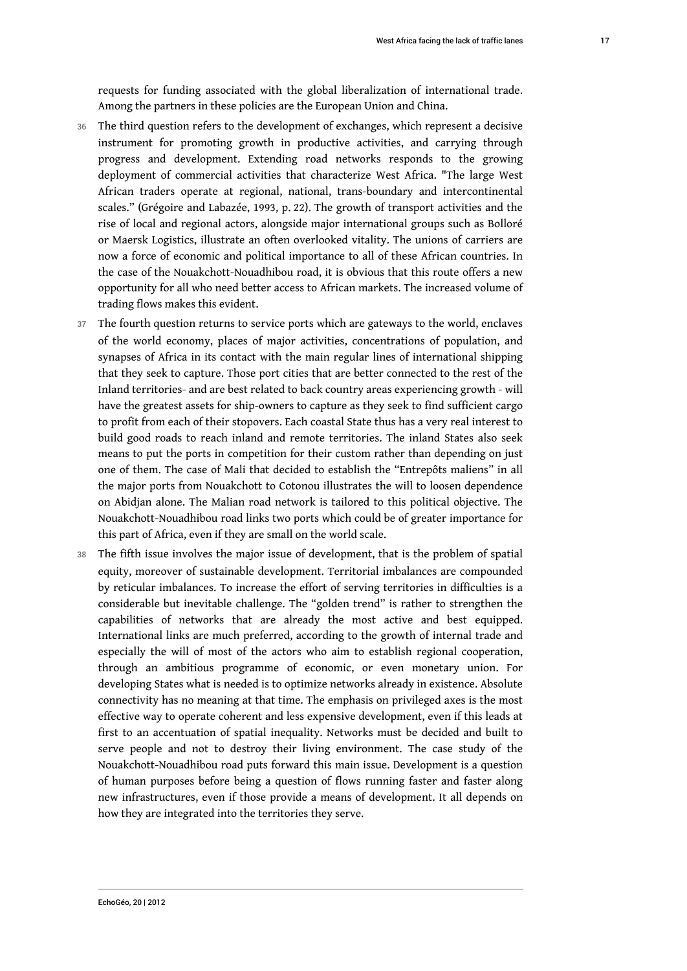requests for funding associated with the global liberalization of international trade. Among the partners in these policies are the European Union and China.

- 36 The third question refers to the development of exchanges, which represent a decisive instrument for promoting growth in productive activities, and carrying through progress and development. Extending road networks responds to the growing deployment of commercial activities that characterize West Africa. "The large West African traders operate at regional, national, trans-boundary and intercontinental scales." (Grégoire and Labazée, 1993, p. 22). The growth of transport activities and the rise of local and regional actors, alongside major international groups such as Bolloré or Maersk Logistics, illustrate an often overlooked vitality. The unions of carriers are now a force of economic and political importance to all of these African countries. In the case of the Nouakchott-Nouadhibou road, it is obvious that this route offers a new opportunity for all who need better access to African markets. The increased volume of trading flows makes this evident.
- 37 The fourth question returns to service ports which are gateways to the world, enclaves of the world economy, places of major activities, concentrations of population, and synapses of Africa in its contact with the main regular lines of international shipping that they seek to capture. Those port cities that are better connected to the rest of the Inland territories- and are best related to back country areas experiencing growth - will have the greatest assets for ship-owners to capture as they seek to find sufficient cargo to profit from each of their stopovers. Each coastal State thus has a very real interest to build good roads to reach inland and remote territories. The inland States also seek means to put the ports in competition for their custom rather than depending on just one of them. The case of Mali that decided to establish the "Entrepôts maliens" in all the major ports from Nouakchott to Cotonou illustrates the will to loosen dependence on Abidjan alone. The Malian road network is tailored to this political objective. The Nouakchott-Nouadhibou road links two ports which could be of greater importance for this part of Africa, even if they are small on the world scale.
- 38 The fifth issue involves the major issue of development, that is the problem of spatial equity, moreover of sustainable development. Territorial imbalances are compounded by reticular imbalances. To increase the effort of serving territories in difficulties is a considerable but inevitable challenge. The "golden trend" is rather to strengthen the capabilities of networks that are already the most active and best equipped. International links are much preferred, according to the growth of internal trade and especially the will of most of the actors who aim to establish regional cooperation, through an ambitious programme of economic, or even monetary union. For developing States what is needed is to optimize networks already in existence. Absolute connectivity has no meaning at that time. The emphasis on privileged axes is the most effective way to operate coherent and less expensive development, even if this leads at first to an accentuation of spatial inequality. Networks must be decided and built to serve people and not to destroy their living environment. The case study of the Nouakchott-Nouadhibou road puts forward this main issue. Development is a question of human purposes before being a question of flows running faster and faster along new infrastructures, even if those provide a means of development. It all depends on how they are integrated into the territories they serve.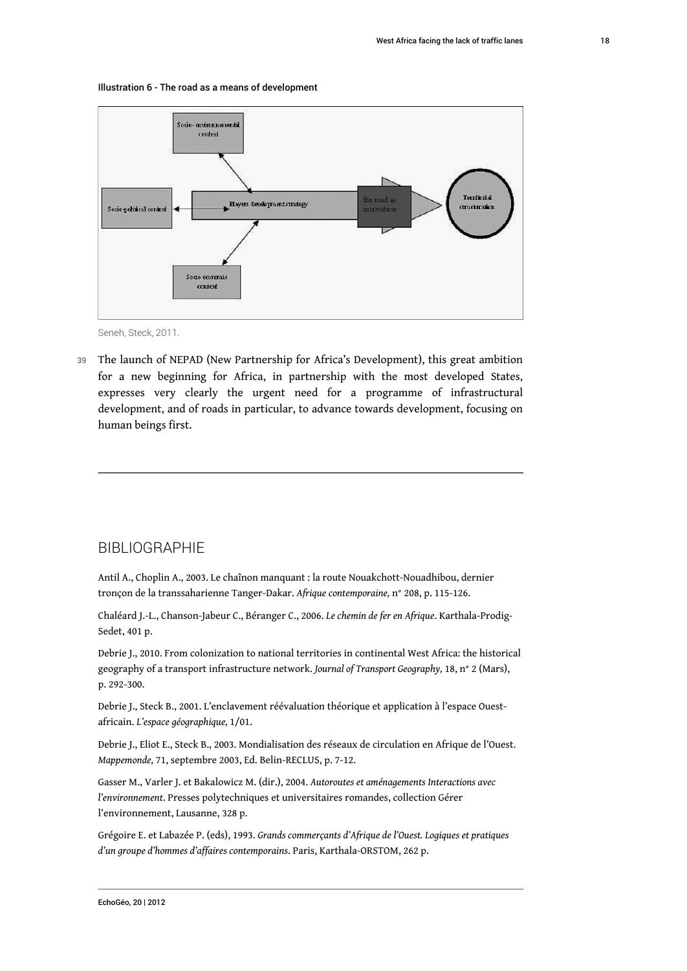



Seneh, Steck, 2011.

39 The launch of NEPAD (New Partnership for Africa's Development), this great ambition for a new beginning for Africa, in partnership with the most developed States, expresses very clearly the urgent need for a programme of infrastructural development, and of roads in particular, to advance towards development, focusing on human beings first.

### **BIBLIOGRAPHIE**

Antil A., Choplin A., 2003. Le chaînon manquant : la route Nouakchott-Nouadhibou, dernier tronçon de la transsaharienne Tanger-Dakar. *Afrique contemporaine,* n° 208, p. 115-126.

Chaléard J.-L., Chanson-Jabeur C., Béranger C., 2006. *Le chemin de fer en Afrique*. Karthala-Prodig-Sedet, 401 p.

Debrie J., 2010. From colonization to national territories in continental West Africa: the historical geography of a transport infrastructure network. *Journal of Transport Geography,* 18, n° 2 (Mars), p. 292-300.

Debrie J., Steck B., 2001. L'enclavement réévaluation théorique et application à l'espace Ouestafricain. *L'espace géographique,* 1/01.

Debrie J., Eliot E., Steck B., 2003. Mondialisation des réseaux de circulation en Afrique de l'Ouest. *Mappemonde,* 71, septembre 2003, Ed. Belin-RECLUS, p. 7-12.

Gasser M., Varler J. et Bakalowicz M. (dir.), 2004. *Autoroutes et aménagements Interactions avec l'environnement*. Presses polytechniques et universitaires romandes, collection Gérer l'environnement, Lausanne, 328 p.

Grégoire E. et Labazée P. (eds), 1993. *Grands commerçants d'Afrique de l'Ouest. Logiques et pratiques d'un groupe d'hommes d'affaires contemporains*. Paris, Karthala-ORSTOM, 262 p.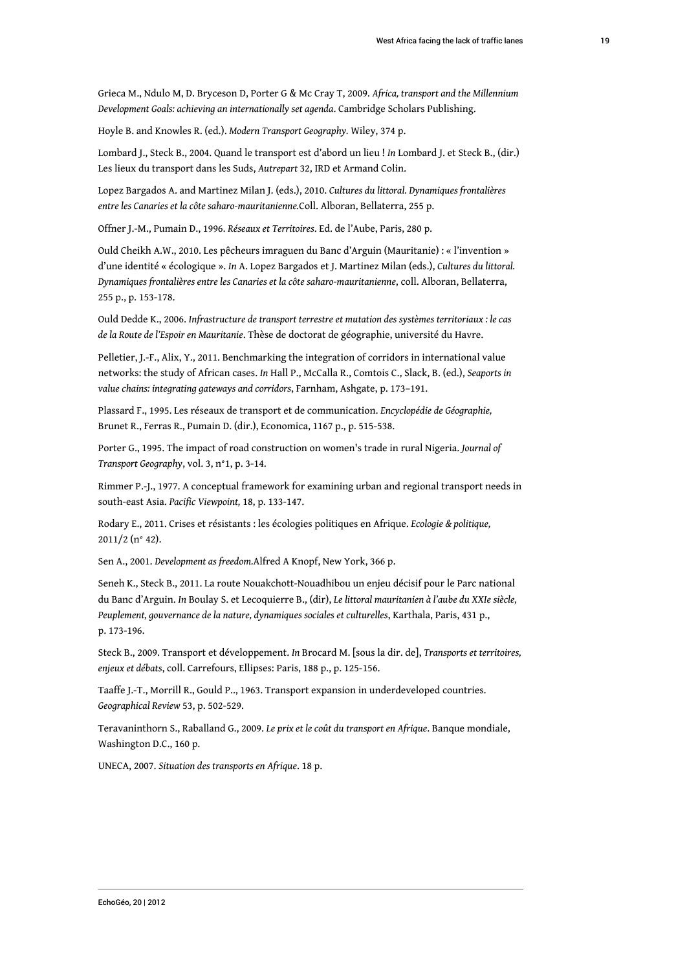Grieca M., Ndulo M, D. Bryceson D, Porter G & Mc Cray T, 2009. *Africa, transport and the Millennium Development Goals: achieving an internationally set agenda*. Cambridge Scholars Publishing.

Hoyle B. and Knowles R. (ed.). *Modern Transport Geography.* Wiley, 374 p.

Lombard J., Steck B., 2004. Quand le transport est d'abord un lieu ! *In* Lombard J. et Steck B., (dir.) Les lieux du transport dans les Suds, *Autrepart* 32, IRD et Armand Colin.

Lopez Bargados A. and Martinez Milan J. (eds.), 2010. *Cultures du littoral. Dynamiques frontalières entre les Canaries et la côte saharo-mauritanienne.*Coll. Alboran, Bellaterra, 255 p.

Offner J.-M., Pumain D., 1996. *Réseaux et Territoires*. Ed. de l'Aube, Paris, 280 p.

Ould Cheikh A.W., 2010. Les pêcheurs imraguen du Banc d'Arguin (Mauritanie) : « l'invention » d'une identité « écologique ». *In* A. Lopez Bargados et J. Martinez Milan (eds.), *Cultures du littoral. Dynamiques frontalières entre les Canaries et la côte saharo-mauritanienne*, coll. Alboran, Bellaterra, 255 p., p. 153-178.

Ould Dedde K., 2006. *Infrastructure de transport terrestre et mutation des systèmes territoriaux : le cas de la Route de l'Espoir en Mauritanie*. Thèse de doctorat de géographie, université du Havre.

Pelletier, J.-F., Alix, Y., 2011. Benchmarking the integration of corridors in international value networks: the study of African cases. *In* Hall P., McCalla R., Comtois C., Slack, B. (ed.), *Seaports in value chains: integrating gateways and corridors*, Farnham, Ashgate, p. 173–191.

Plassard F., 1995. Les réseaux de transport et de communication. *Encyclopédie de Géographie,*  Brunet R., Ferras R., Pumain D. (dir.), Economica, 1167 p., p. 515-538.

Porter G., 1995. The impact of road construction on women's trade in rural Nigeria. *Journal of Transport Geography*, vol. 3, n°1, p. 3-14.

Rimmer P.-J., 1977. A conceptual framework for examining urban and regional transport needs in south-east Asia. *Pacific Viewpoint,* 18, p. 133-147.

Rodary E., 2011. Crises et résistants : les écologies politiques en Afrique. *Ecologie & politique,* 2011/2 (n° 42).

Sen A., 2001. *Development as freedom.*Alfred A Knopf, New York, 366 p.

Seneh K., Steck B., 2011. La route Nouakchott-Nouadhibou un enjeu décisif pour le Parc national du Banc d'Arguin. *In* Boulay S. et Lecoquierre B., (dir), *Le littoral mauritanien à l'aube du XXIe siècle, Peuplement, gouvernance de la nature, dynamiques sociales et culturelles*, Karthala, Paris, 431 p., p. 173-196.

Steck B., 2009. Transport et développement. *In* Brocard M. [sous la dir. de], *Transports et territoires, enjeux et débats*, coll. Carrefours, Ellipses: Paris, 188 p., p. 125-156.

Taaffe J.-T., Morrill R., Gould P.., 1963. Transport expansion in underdeveloped countries. *Geographical Review* 53, p. 502-529.

Teravaninthorn S., Raballand G., 2009. *Le prix et le coût du transport en Afrique*. Banque mondiale, Washington D.C., 160 p.

UNECA, 2007. *Situation des transports en Afrique*. 18 p.

19